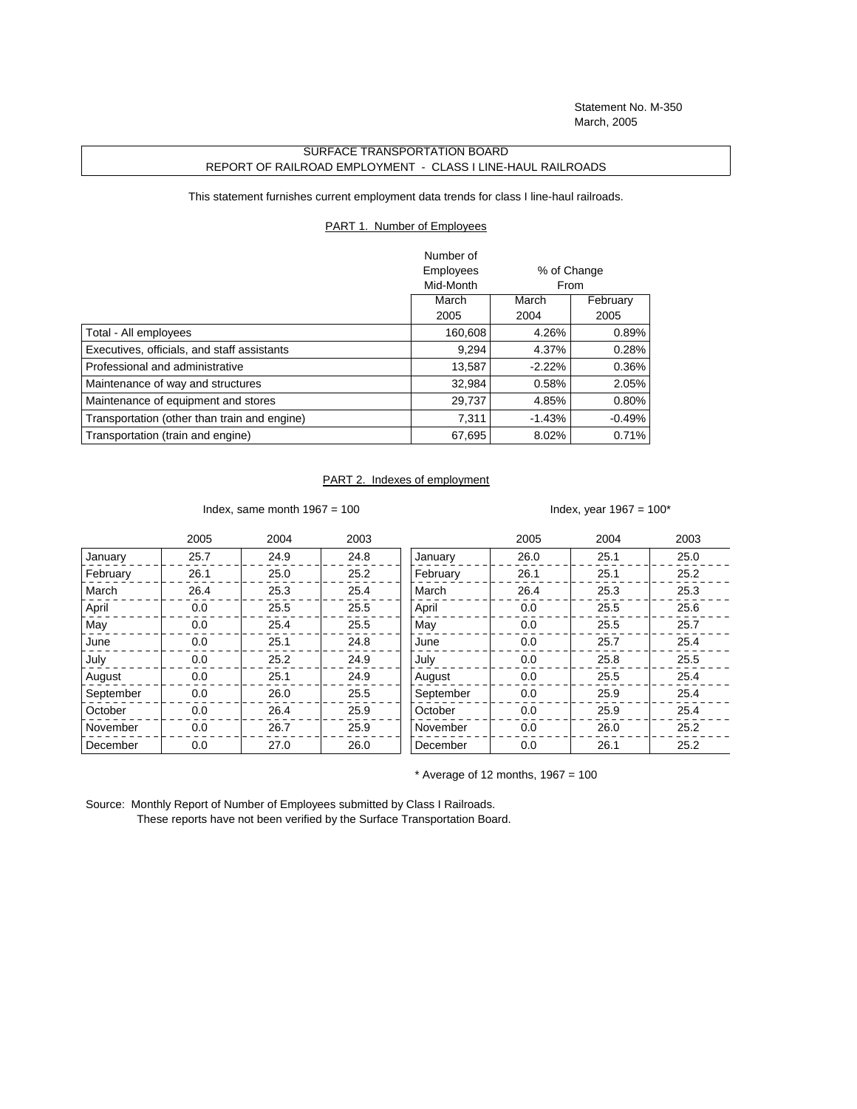Statement No. M-350 March, 2005

## SURFACE TRANSPORTATION BOARD REPORT OF RAILROAD EMPLOYMENT - CLASS I LINE-HAUL RAILROADS

This statement furnishes current employment data trends for class I line-haul railroads.

## PART 1. Number of Employees

|                                              | Number of |             |          |
|----------------------------------------------|-----------|-------------|----------|
|                                              | Employees | % of Change |          |
|                                              | Mid-Month |             | From     |
|                                              | March     | March       | February |
|                                              | 2005      | 2004        | 2005     |
| Total - All employees                        | 160,608   | 4.26%       | 0.89%    |
| Executives, officials, and staff assistants  | 9,294     | 4.37%       | 0.28%    |
| Professional and administrative              | 13.587    | $-2.22%$    | 0.36%    |
| Maintenance of way and structures            | 32,984    | 0.58%       | 2.05%    |
| Maintenance of equipment and stores          | 29,737    | 4.85%       | $0.80\%$ |
| Transportation (other than train and engine) | 7.311     | $-1.43%$    | $-0.49%$ |
| Transportation (train and engine)            | 67,695    | 8.02%       | 0.71%    |

## PART 2. Indexes of employment

Index, same month  $1967 = 100$  Index, year  $1967 = 100^*$ 

|           | 2005 | 2004 | 2003 |           | 2005 | 2004 | 2003 |
|-----------|------|------|------|-----------|------|------|------|
| January   | 25.7 | 24.9 | 24.8 | January   | 26.0 | 25.1 | 25.0 |
| February  | 26.1 | 25.0 | 25.2 | February  | 26.1 | 25.1 | 25.2 |
| March     | 26.4 | 25.3 | 25.4 | March     | 26.4 | 25.3 | 25.3 |
| April     | 0.0  | 25.5 | 25.5 | April     | 0.0  | 25.5 | 25.6 |
| May       | 0.0  | 25.4 | 25.5 | May       | 0.0  | 25.5 | 25.7 |
| June      | 0.0  | 25.1 | 24.8 | June      | 0.0  | 25.7 | 25.4 |
| July      | 0.0  | 25.2 | 24.9 | July      | 0.0  | 25.8 | 25.5 |
| August    | 0.0  | 25.1 | 24.9 | August    | 0.0  | 25.5 | 25.4 |
| September | 0.0  | 26.0 | 25.5 | September | 0.0  | 25.9 | 25.4 |
| October   | 0.0  | 26.4 | 25.9 | October   | 0.0  | 25.9 | 25.4 |
| November  | 0.0  | 26.7 | 25.9 | November  | 0.0  | 26.0 | 25.2 |
| December  | 0.0  | 27.0 | 26.0 | December  | 0.0  | 26.1 | 25.2 |

 $*$  Average of 12 months, 1967 = 100

Source: Monthly Report of Number of Employees submitted by Class I Railroads. These reports have not been verified by the Surface Transportation Board.